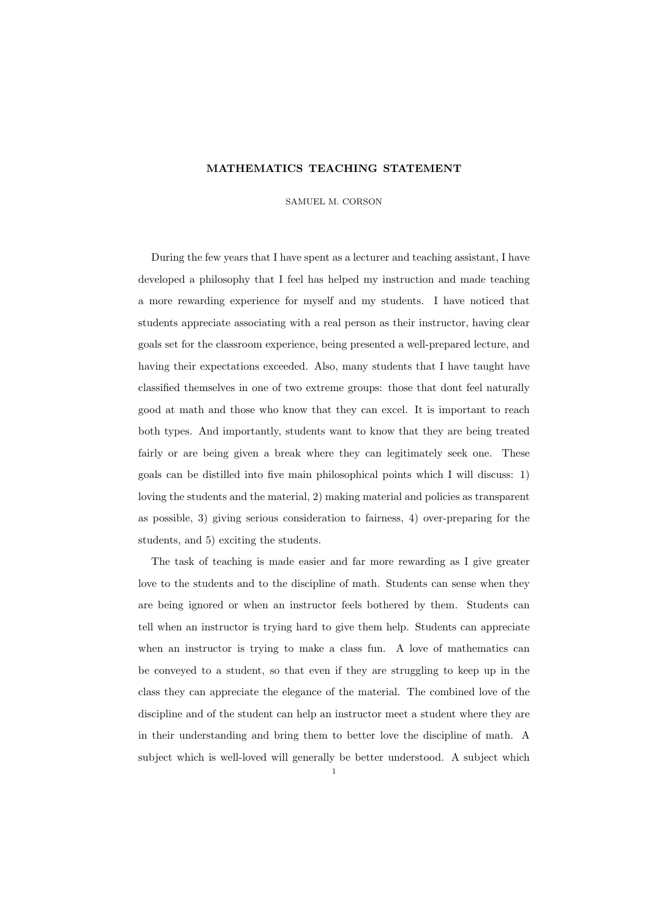## MATHEMATICS TEACHING STATEMENT

SAMUEL M. CORSON

During the few years that I have spent as a lecturer and teaching assistant, I have developed a philosophy that I feel has helped my instruction and made teaching a more rewarding experience for myself and my students. I have noticed that students appreciate associating with a real person as their instructor, having clear goals set for the classroom experience, being presented a well-prepared lecture, and having their expectations exceeded. Also, many students that I have taught have classified themselves in one of two extreme groups: those that dont feel naturally good at math and those who know that they can excel. It is important to reach both types. And importantly, students want to know that they are being treated fairly or are being given a break where they can legitimately seek one. These goals can be distilled into five main philosophical points which I will discuss: 1) loving the students and the material, 2) making material and policies as transparent as possible, 3) giving serious consideration to fairness, 4) over-preparing for the students, and 5) exciting the students.

The task of teaching is made easier and far more rewarding as I give greater love to the students and to the discipline of math. Students can sense when they are being ignored or when an instructor feels bothered by them. Students can tell when an instructor is trying hard to give them help. Students can appreciate when an instructor is trying to make a class fun. A love of mathematics can be conveyed to a student, so that even if they are struggling to keep up in the class they can appreciate the elegance of the material. The combined love of the discipline and of the student can help an instructor meet a student where they are in their understanding and bring them to better love the discipline of math. A subject which is well-loved will generally be better understood. A subject which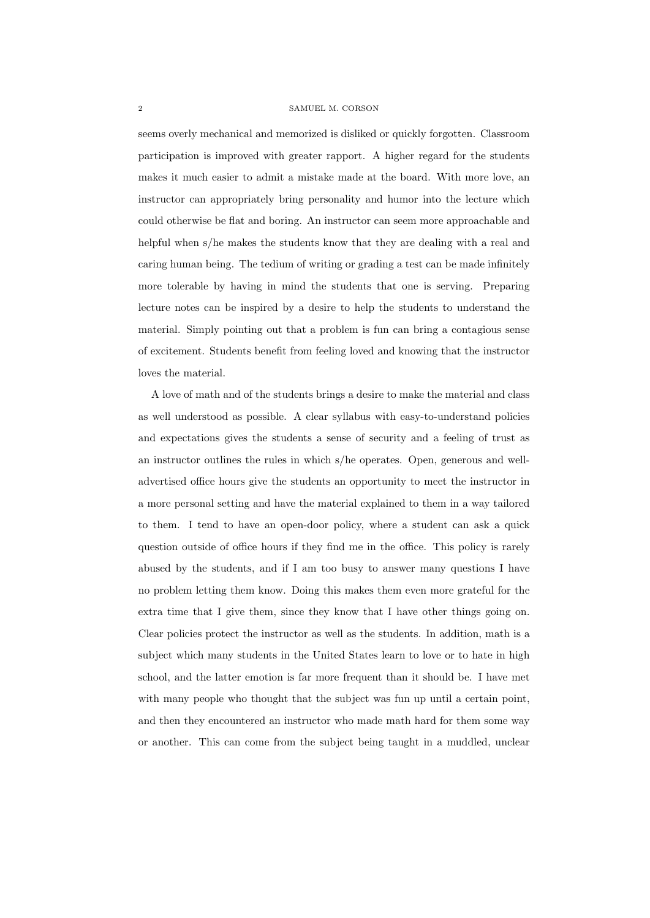## 2 SAMUEL M. CORSON

seems overly mechanical and memorized is disliked or quickly forgotten. Classroom participation is improved with greater rapport. A higher regard for the students makes it much easier to admit a mistake made at the board. With more love, an instructor can appropriately bring personality and humor into the lecture which could otherwise be flat and boring. An instructor can seem more approachable and helpful when s/he makes the students know that they are dealing with a real and caring human being. The tedium of writing or grading a test can be made infinitely more tolerable by having in mind the students that one is serving. Preparing lecture notes can be inspired by a desire to help the students to understand the material. Simply pointing out that a problem is fun can bring a contagious sense of excitement. Students benefit from feeling loved and knowing that the instructor loves the material.

A love of math and of the students brings a desire to make the material and class as well understood as possible. A clear syllabus with easy-to-understand policies and expectations gives the students a sense of security and a feeling of trust as an instructor outlines the rules in which s/he operates. Open, generous and welladvertised office hours give the students an opportunity to meet the instructor in a more personal setting and have the material explained to them in a way tailored to them. I tend to have an open-door policy, where a student can ask a quick question outside of office hours if they find me in the office. This policy is rarely abused by the students, and if I am too busy to answer many questions I have no problem letting them know. Doing this makes them even more grateful for the extra time that I give them, since they know that I have other things going on. Clear policies protect the instructor as well as the students. In addition, math is a subject which many students in the United States learn to love or to hate in high school, and the latter emotion is far more frequent than it should be. I have met with many people who thought that the subject was fun up until a certain point, and then they encountered an instructor who made math hard for them some way or another. This can come from the subject being taught in a muddled, unclear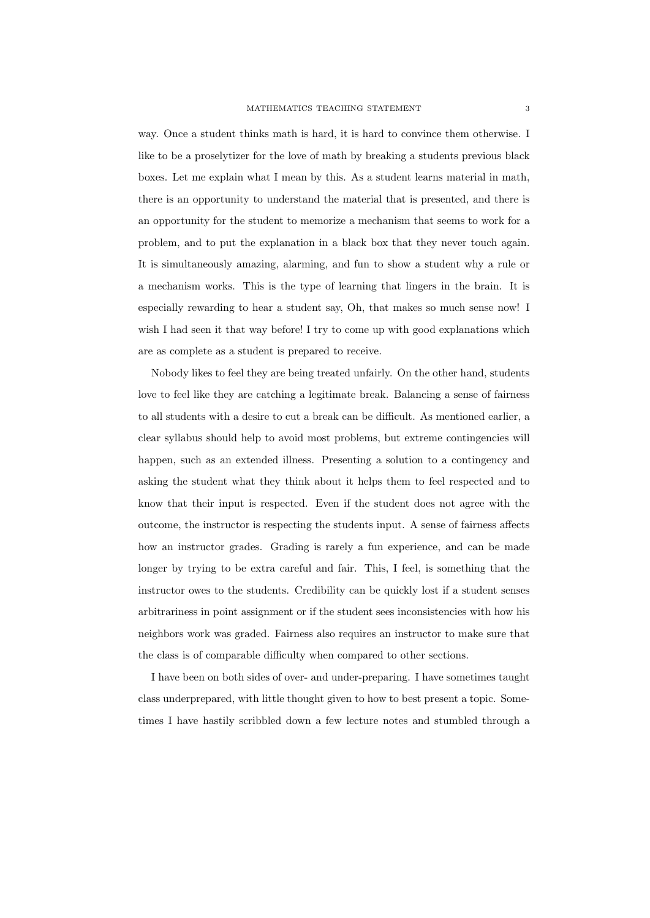way. Once a student thinks math is hard, it is hard to convince them otherwise. I like to be a proselytizer for the love of math by breaking a students previous black boxes. Let me explain what I mean by this. As a student learns material in math, there is an opportunity to understand the material that is presented, and there is an opportunity for the student to memorize a mechanism that seems to work for a problem, and to put the explanation in a black box that they never touch again. It is simultaneously amazing, alarming, and fun to show a student why a rule or a mechanism works. This is the type of learning that lingers in the brain. It is especially rewarding to hear a student say, Oh, that makes so much sense now! I wish I had seen it that way before! I try to come up with good explanations which are as complete as a student is prepared to receive.

Nobody likes to feel they are being treated unfairly. On the other hand, students love to feel like they are catching a legitimate break. Balancing a sense of fairness to all students with a desire to cut a break can be difficult. As mentioned earlier, a clear syllabus should help to avoid most problems, but extreme contingencies will happen, such as an extended illness. Presenting a solution to a contingency and asking the student what they think about it helps them to feel respected and to know that their input is respected. Even if the student does not agree with the outcome, the instructor is respecting the students input. A sense of fairness affects how an instructor grades. Grading is rarely a fun experience, and can be made longer by trying to be extra careful and fair. This, I feel, is something that the instructor owes to the students. Credibility can be quickly lost if a student senses arbitrariness in point assignment or if the student sees inconsistencies with how his neighbors work was graded. Fairness also requires an instructor to make sure that the class is of comparable difficulty when compared to other sections.

I have been on both sides of over- and under-preparing. I have sometimes taught class underprepared, with little thought given to how to best present a topic. Sometimes I have hastily scribbled down a few lecture notes and stumbled through a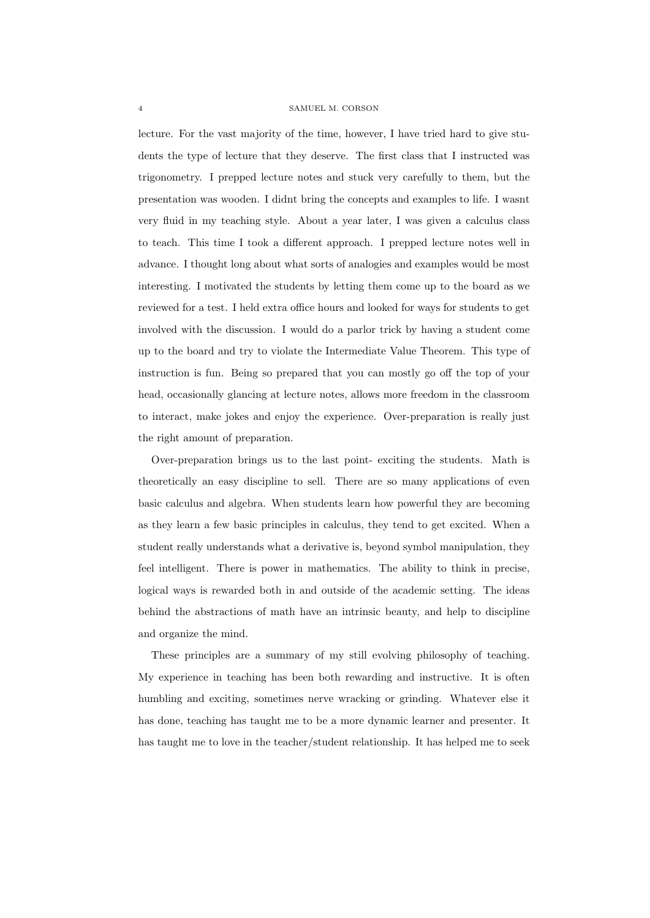## 4 SAMUEL M. CORSON

lecture. For the vast majority of the time, however, I have tried hard to give students the type of lecture that they deserve. The first class that I instructed was trigonometry. I prepped lecture notes and stuck very carefully to them, but the presentation was wooden. I didnt bring the concepts and examples to life. I wasnt very fluid in my teaching style. About a year later, I was given a calculus class to teach. This time I took a different approach. I prepped lecture notes well in advance. I thought long about what sorts of analogies and examples would be most interesting. I motivated the students by letting them come up to the board as we reviewed for a test. I held extra office hours and looked for ways for students to get involved with the discussion. I would do a parlor trick by having a student come up to the board and try to violate the Intermediate Value Theorem. This type of instruction is fun. Being so prepared that you can mostly go off the top of your head, occasionally glancing at lecture notes, allows more freedom in the classroom to interact, make jokes and enjoy the experience. Over-preparation is really just the right amount of preparation.

Over-preparation brings us to the last point- exciting the students. Math is theoretically an easy discipline to sell. There are so many applications of even basic calculus and algebra. When students learn how powerful they are becoming as they learn a few basic principles in calculus, they tend to get excited. When a student really understands what a derivative is, beyond symbol manipulation, they feel intelligent. There is power in mathematics. The ability to think in precise, logical ways is rewarded both in and outside of the academic setting. The ideas behind the abstractions of math have an intrinsic beauty, and help to discipline and organize the mind.

These principles are a summary of my still evolving philosophy of teaching. My experience in teaching has been both rewarding and instructive. It is often humbling and exciting, sometimes nerve wracking or grinding. Whatever else it has done, teaching has taught me to be a more dynamic learner and presenter. It has taught me to love in the teacher/student relationship. It has helped me to seek